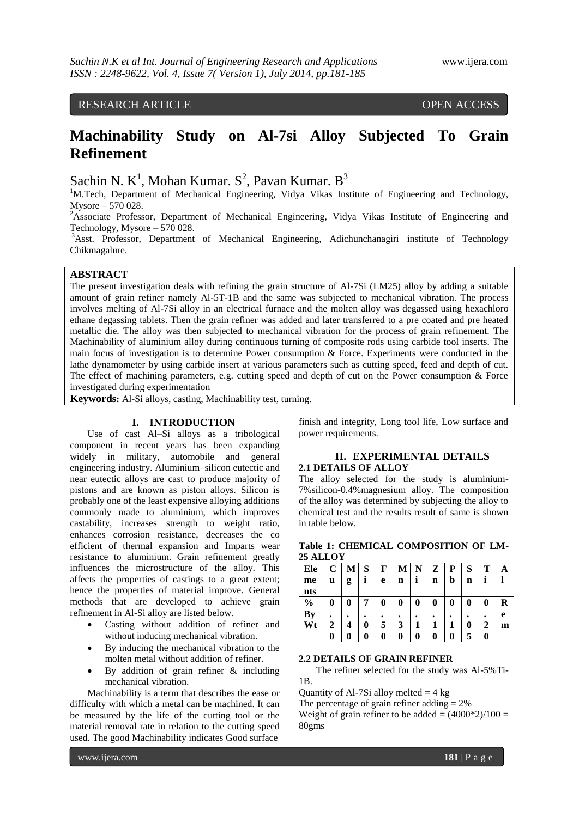# RESEARCH ARTICLE OPEN ACCESS

# **Machinability Study on Al-7si Alloy Subjected To Grain Refinement**

Sachin N.  $K^1$ , Mohan Kumar. S<sup>2</sup>, Pavan Kumar. B<sup>3</sup>

<sup>1</sup>M.Tech, Department of Mechanical Engineering, Vidya Vikas Institute of Engineering and Technology, Mysore – 570 028.

<sup>2</sup>Associate Professor, Department of Mechanical Engineering, Vidya Vikas Institute of Engineering and Technology, Mysore – 570 028.

<sup>3</sup>Asst. Professor, Department of Mechanical Engineering, Adichunchanagiri institute of Technology Chikmagalure.

# **ABSTRACT**

The present investigation deals with refining the grain structure of Al-7Si (LM25) alloy by adding a suitable amount of grain refiner namely Al-5T-1B and the same was subjected to mechanical vibration. The process involves melting of Al-7Si alloy in an electrical furnace and the molten alloy was degassed using hexachloro ethane degassing tablets. Then the grain refiner was added and later transferred to a pre coated and pre heated metallic die. The alloy was then subjected to mechanical vibration for the process of grain refinement. The Machinability of aluminium alloy during continuous turning of composite rods using carbide tool inserts. The main focus of investigation is to determine Power consumption & Force. Experiments were conducted in the lathe dynamometer by using carbide insert at various parameters such as cutting speed, feed and depth of cut. The effect of machining parameters, e.g. cutting speed and depth of cut on the Power consumption & Force investigated during experimentation

**Keywords:** Al-Si alloys, casting, Machinability test, turning.

# **I. INTRODUCTION**

Use of cast Al–Si alloys as a tribological component in recent years has been expanding widely in military, automobile and general engineering industry. Aluminium–silicon eutectic and near eutectic alloys are cast to produce majority of pistons and are known as piston alloys. Silicon is probably one of the least expensive alloying additions commonly made to aluminium, which improves castability, increases strength to weight ratio, enhances corrosion resistance, decreases the co efficient of thermal expansion and Imparts wear resistance to aluminium. Grain refinement greatly influences the microstructure of the alloy. This affects the properties of castings to a great extent; hence the properties of material improve. General methods that are developed to achieve grain refinement in Al-Si alloy are listed below.

- Casting without addition of refiner and without inducing mechanical vibration.
- By inducing the mechanical vibration to the molten metal without addition of refiner.
- By addition of grain refiner & including mechanical vibration.

Machinability is a term that describes the ease or difficulty with which a metal can be machined. It can be measured by the life of the cutting tool or the material removal rate in relation to the cutting speed used. The good Machinability indicates Good surface

finish and integrity, Long tool life, Low surface and power requirements.

# **II. EXPERIMENTAL DETAILS 2.1 DETAILS OF ALLOY**

The alloy selected for the study is aluminium-7%silicon-0.4%magnesium alloy. The composition of the alloy was determined by subjecting the alloy to chemical test and the results result of same is shown in table below.

|                 | Table 1: CHEMICAL COMPOSITION OF LM- |  |
|-----------------|--------------------------------------|--|
| <b>25 ALLOY</b> |                                      |  |

| Ele           |   |   |                 |          | C M S F M N Z |              |          | $\mathbf{P}$ | S        |   |   |
|---------------|---|---|-----------------|----------|---------------|--------------|----------|--------------|----------|---|---|
| me            | u | g | i               | e        | $\mathbf n$   | Ιi           | n        | b            | n        |   |   |
| nts           |   |   |                 |          |               |              |          |              |          |   |   |
| $\frac{0}{0}$ | 0 | 0 | $7\phantom{.0}$ | $\bf{0}$ | $\mathbf 0$   | $\mathbf{0}$ | $\bf{0}$ | $\bf{0}$     | $\bf{0}$ | 0 | R |
| By            |   |   |                 |          |               |              |          |              |          |   | e |
| Wt            |   |   |                 |          | 3             |              |          |              | 0        |   | m |
|               |   |   |                 | 0        | 0             | 0            | 0        |              |          |   |   |

#### **2.2 DETAILS OF GRAIN REFINER**

The refiner selected for the study was Al-5%Ti-1B.

Quantity of Al-7Si alloy melted  $= 4$  kg

The percentage of grain refiner adding  $= 2\%$ 

Weight of grain refiner to be added  $= (4000*2)/100 =$ 80gms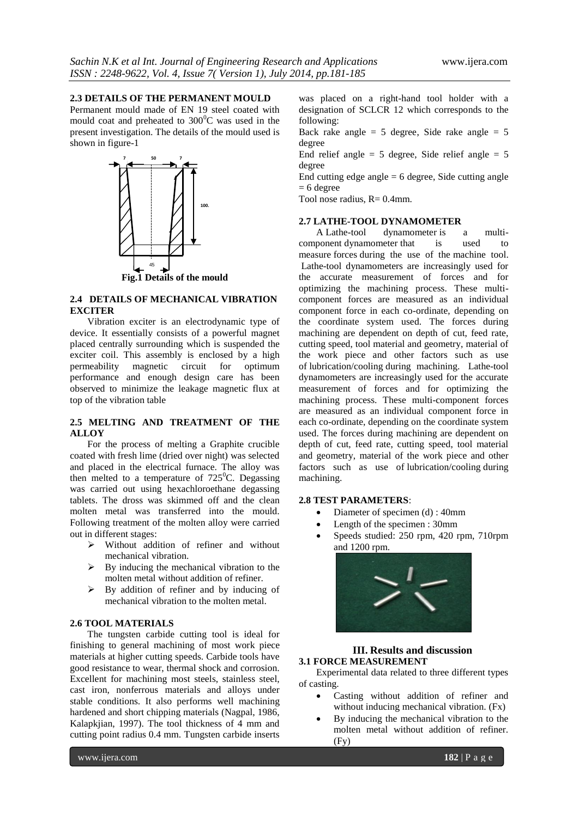### **2.3 DETAILS OF THE PERMANENT MOULD**

Permanent mould made of EN 19 steel coated with mould coat and preheated to  $300^{\circ}$ C was used in the present investigation. The details of the mould used is shown in figure-1



### **2.4 DETAILS OF MECHANICAL VIBRATION EXCITER**

Vibration exciter is an electrodynamic type of device. It essentially consists of a powerful magnet placed centrally surrounding which is suspended the exciter coil. This assembly is enclosed by a high permeability magnetic circuit for optimum performance and enough design care has been observed to minimize the leakage magnetic flux at top of the vibration table

# **2.5 MELTING AND TREATMENT OF THE ALLOY**

For the process of melting a Graphite crucible coated with fresh lime (dried over night) was selected and placed in the electrical furnace. The alloy was then melted to a temperature of  $725^{\circ}$ C. Degassing was carried out using hexachloroethane degassing tablets. The dross was skimmed off and the clean molten metal was transferred into the mould. Following treatment of the molten alloy were carried out in different stages:

- $\triangleright$  Without addition of refiner and without mechanical vibration.
- $\triangleright$  By inducing the mechanical vibration to the molten metal without addition of refiner.
- $\triangleright$  By addition of refiner and by inducing of mechanical vibration to the molten metal.

# **2.6 TOOL MATERIALS**

The tungsten carbide cutting tool is ideal for finishing to general machining of most work piece materials at higher cutting speeds. Carbide tools have good resistance to wear, thermal shock and corrosion. Excellent for machining most steels, stainless steel, cast iron, nonferrous materials and alloys under stable conditions. It also performs well machining hardened and short chipping materials (Nagpal, 1986, Kalapkjian, 1997). The tool thickness of 4 mm and cutting point radius 0.4 mm. Tungsten carbide inserts

was placed on a right-hand tool holder with a designation of SCLCR 12 which corresponds to the following:

Back rake angle =  $5$  degree, Side rake angle =  $5$ degree

End relief angle =  $5$  degree, Side relief angle =  $5$ degree

End cutting edge angle  $= 6$  degree, Side cutting angle  $= 6$  degree

Tool nose radius,  $R = 0.4$ mm.

# **2.7 LATHE-TOOL DYNAMOMETER**

A Lathe-tool dynamometer is a multicomponent [dynamometer](http://en.wikipedia.org/wiki/Dynamometer) that is used to measure [forces](http://en.wikipedia.org/wiki/Force) during the use of the [machine tool.](http://en.wikipedia.org/wiki/Machine_tool) Lathe-tool dynamometers are increasingly used for the accurate measurement of forces and for optimizing the machining process. These multicomponent forces are measured as an individual component force in each co-ordinate, depending on the coordinate system used. The forces during machining are dependent on depth of cut, feed rate, cutting speed, tool material and geometry, material of the work piece and other factors such as use of [lubrication/cooling](http://en.wikipedia.org/wiki/Cutting_fluid) during machining. Lathe-tool dynamometers are increasingly used for the accurate measurement of forces and for optimizing the machining process. These multi-component forces are measured as an individual component force in each co-ordinate, depending on the coordinate system used. The forces during machining are dependent on depth of cut, feed rate, cutting speed, tool material and geometry, material of the work piece and other factors such as use of [lubrication/cooling](http://en.wikipedia.org/wiki/Cutting_fluid) during machining.

# **2.8 TEST PARAMETERS**:

- Diameter of specimen (d) : 40mm
- Length of the specimen : 30mm
- Speeds studied: 250 rpm, 420 rpm, 710rpm and 1200 rpm.



#### **III. Results and discussion 3.1 FORCE MEASUREMENT**

Experimental data related to three different types of casting.

- Casting without addition of refiner and without inducing mechanical vibration. (Fx)
- By inducing the mechanical vibration to the molten metal without addition of refiner. (Fy)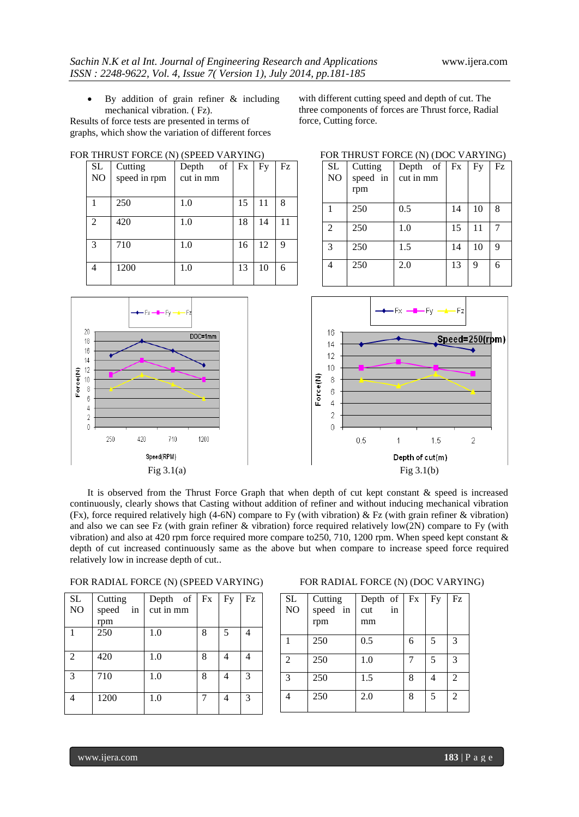By addition of grain refiner & including mechanical vibration. ( Fz).

Results of force tests are presented in terms of graphs, which show the variation of different forces

FOR THRUST FORCE (N) (SPEED VARYING)

with different cutting speed and depth of cut. The three components of forces are Thrust force, Radial force, Cutting force.

| $\operatorname{SL}$<br>NO | Cutting<br>speed in rpm | of<br>Depth<br>cut in mm | Fx | Fy | Fz |
|---------------------------|-------------------------|--------------------------|----|----|----|
|                           |                         |                          |    |    |    |
|                           | 250                     | 1.0                      | 15 | 11 | 8  |
| $\mathfrak{D}$            | 420                     | 1.0                      | 18 | 14 | 11 |
| $\mathcal{R}$             | 710                     | 1.0                      | 16 | 12 | 9  |
|                           | 1200                    | 1.0                      | 13 | 10 | 6  |

| <b>SL</b><br>NO | Cutting<br>speed in<br>rpm | Depth of<br>cut in mm | Fx | Fy | Fz |
|-----------------|----------------------------|-----------------------|----|----|----|
|                 | 250                        | 0.5                   | 14 | 10 | 8  |
| $\overline{c}$  | 250                        | 1.0                   | 15 | 11 |    |
| 3               | 250                        | 1.5                   | 14 | 10 | 9  |
| 4               | 250                        | 2.0                   | 13 | 9  | 6  |



It is observed from the Thrust Force Graph that when depth of cut kept constant & speed is increased continuously, clearly shows that Casting without addition of refiner and without inducing mechanical vibration (Fx), force required relatively high (4-6N) compare to Fy (with vibration)  $\&$  Fz (with grain refiner  $\&$  vibration) and also we can see Fz (with grain refiner & vibration) force required relatively low(2N) compare to Fy (with vibration) and also at 420 rpm force required more compare to250, 710, 1200 rpm. When speed kept constant & depth of cut increased continuously same as the above but when compare to increase speed force required relatively low in increase depth of cut..

| FOR RADIAL FORCE (N) (SPEED VARYING) |  |  |  |
|--------------------------------------|--|--|--|
|--------------------------------------|--|--|--|

| <b>SL</b><br>NO | Cutting<br>speed<br>in<br>rpm | Depth of<br>cut in mm | Fx | Fy | Fz |
|-----------------|-------------------------------|-----------------------|----|----|----|
|                 | 250                           | 1.0                   | 8  | 5  | 4  |
| $\overline{2}$  | 420                           | 1.0                   | 8  | 4  |    |
| 3               | 710                           | 1.0                   | 8  | 4  | 3  |
|                 | 1200                          | 1.0                   |    | 4  | 3  |

# FOR RADIAL FORCE (N) (DOC VARYING)

| <b>SL</b><br>NO | Cutting<br>speed in<br>rpm | Depth of<br>cut<br>in<br>mm | Fx | Fy | Fz             |
|-----------------|----------------------------|-----------------------------|----|----|----------------|
|                 | 250                        | 0.5                         | 6  | 5  | 3              |
| 2               | 250                        | 1.0                         |    | 5  | 3              |
| 3               | 250                        | 1.5                         | 8  |    | 2              |
| 4               | 250                        | 2.0                         | 8  | 5  | $\overline{c}$ |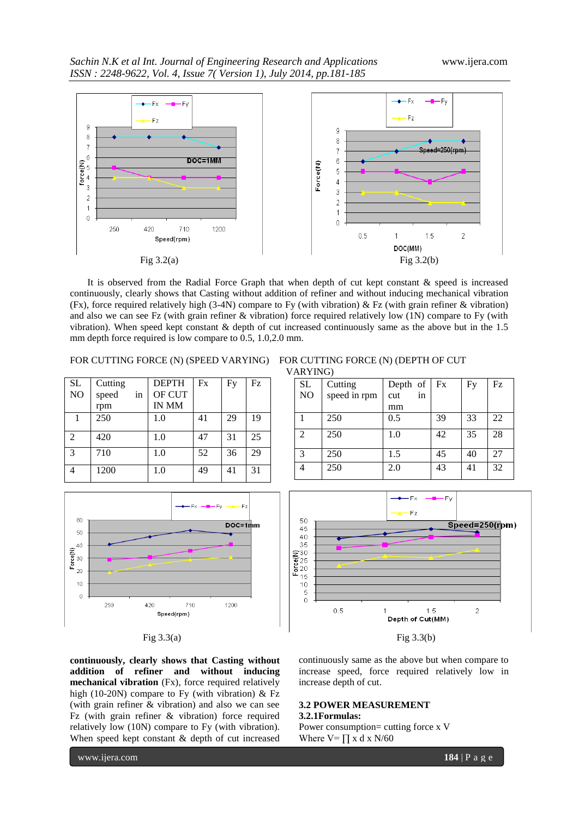

It is observed from the Radial Force Graph that when depth of cut kept constant & speed is increased continuously, clearly shows that Casting without addition of refiner and without inducing mechanical vibration (Fx), force required relatively high (3-4N) compare to Fy (with vibration) & Fz (with grain refiner & vibration) and also we can see Fz (with grain refiner & vibration) force required relatively low (1N) compare to Fy (with vibration). When speed kept constant & depth of cut increased continuously same as the above but in the 1.5 mm depth force required is low compare to 0.5, 1.0,2.0 mm.

| <b>SL</b>      | Cutting     | <b>DEPTH</b> | Fx | Fy | Fz |
|----------------|-------------|--------------|----|----|----|
| NO             | speed<br>1n | OF CUT       |    |    |    |
|                | rpm         | IN MM        |    |    |    |
| 1              | 250         | 1.0          | 41 | 29 | 19 |
| $\mathfrak{D}$ | 420         | 1.0          | 47 | 31 | 25 |
| $\mathcal{E}$  | 710         | 1.0          | 52 | 36 | 29 |
|                | 1200        | 1.0          | 49 | 41 | 31 |



FOR CUTTING FORCE (N) (SPEED VARYING) FOR CUTTING FORCE (N) (DEPTH OF CUT VARYING)

|              |           | Fx       |    | Fz |
|--------------|-----------|----------|----|----|
| speed in rpm | cut<br>in |          |    |    |
|              | mm        |          |    |    |
| 250          | 0.5       | 39       | 33 | 22 |
| 250          | 1.0       | 42       | 35 | 28 |
|              |           |          |    |    |
| 250          | 1.5       | 45       | 40 | 27 |
| 250          | 2.0       | 43       | 41 | 32 |
|              | Cutting   | Depth of |    | Fy |





**continuously, clearly shows that Casting without addition of refiner and without inducing mechanical vibration** (Fx), force required relatively high (10-20N) compare to Fy (with vibration) & Fz (with grain refiner & vibration) and also we can see Fz (with grain refiner & vibration) force required relatively low (10N) compare to Fy (with vibration). When speed kept constant & depth of cut increased

continuously same as the above but when compare to increase speed, force required relatively low in increase depth of cut.

## **3.2 POWER MEASUREMENT**

# **3.2.1Formulas:**

Power consumption= cutting force x V Where  $V = \prod x dx$  N/60